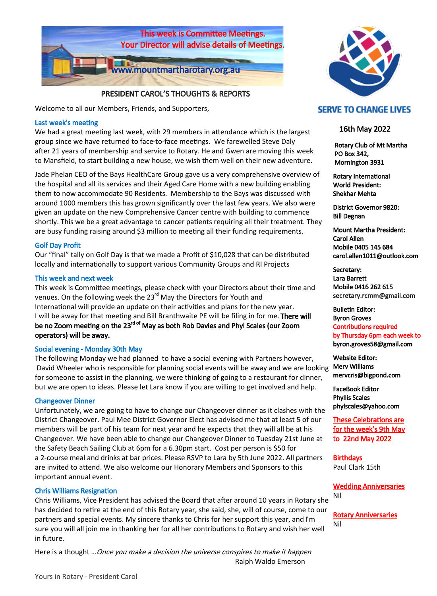

### PRESIDENT CAROL'S THOUGHTS & REPORTS

Welcome to all our Members, Friends, and Supporters,

### Last week's meeting

We had a great meeting last week, with 29 members in attendance which is the largest group since we have returned to face-to-face meetings. We farewelled Steve Daly after 21 years of membership and service to Rotary. He and Gwen are moving this week to Mansfield, to start building a new house, we wish them well on their new adventure.

Jade Phelan CEO of the Bays HealthCare Group gave us a very comprehensive overview of the hospital and all its services and their Aged Care Home with a new building enabling them to now accommodate 90 Residents. Membership to the Bays was discussed with around 1000 members this has grown significantly over the last few years. We also were given an update on the new Comprehensive Cancer centre with building to commence shortly. This we be a great advantage to cancer patients requiring all their treatment. They are busy funding raising around \$3 million to meeting all their funding requirements.

### Golf Day Profit

Our "final" tally on Golf Day is that we made a Profit of \$10,028 that can be distributed locally and internationally to support various Community Groups and RI Projects

### This week and next week

This week is Committee meetings, please check with your Directors about their time and venues. On the following week the 23<sup>rd</sup> May the Directors for Youth and International will provide an update on their activities and plans for the new year. I will be away for that meeting and Bill Branthwaite PE will be filing in for me. There will be no Zoom meeting on the 23<sup>rd of</sup> May as both Rob Davies and Phyl Scales (our Zoom operators) will be away.

### Social evening - Monday 30th May

The following Monday we had planned to have a social evening with Partners however, David Wheeler who is responsible for planning social events will be away and we are looking for someone to assist in the planning, we were thinking of going to a restaurant for dinner, but we are open to ideas. Please let Lara know if you are willing to get involved and help.

### Changeover Dinner

Unfortunately, we are going to have to change our Changeover dinner as it clashes with the District Changeover. Paul Mee District Governor Elect has advised me that at least 5 of our members will be part of his team for next year and he expects that they will all be at his Changeover. We have been able to change our Changeover Dinner to Tuesday 21st June at the Safety Beach Sailing Club at 6pm for a 6.30pm start. Cost per person is \$50 for a 2-course meal and drinks at bar prices. Please RSVP to Lara by 5th June 2022. All partners are invited to attend. We also welcome our Honorary Members and Sponsors to this important annual event.

### Chris Williams Resignation

Chris Williams, Vice President has advised the Board that after around 10 years in Rotary she has decided to retire at the end of this Rotary year, she said, she, will of course, come to our partners and special events. My sincere thanks to Chris for her support this year, and I'm sure you will all join me in thanking her for all her contributions to Rotary and wish her well in future.

Here is a thought ... Once you make a decision the universe conspires to make it happen Ralph Waldo Emerson



### **SERVE TO CHANGE LIVES**

### 16th May 2022

 Rotary Club of Mt Martha PO Box 342, Mornington 3931

Rotary International World President: Shekhar Mehta

District Governor 9820: Bill Degnan

Mount Martha President: Carol Allen Mobile 0405 145 684 carol.allen1011@outlook.com

Secretary: Lara Barrett Mobile 0416 262 615 secretary.rcmm@gmail.com

Bulletin Editor: Byron Groves Contributions required by Thursday 6pm each week to byron.groves58@gmail.com

Website Editor: Merv Williams mervcris@bigpond.com

FaceBook Editor Phyllis Scales phylscales@yahoo.com

These Celebrations are for the week's 9th May to 22nd May 2022

Birthdays Paul Clark 15th

Wedding Anniversaries Nil

Rotary Anniversaries Nil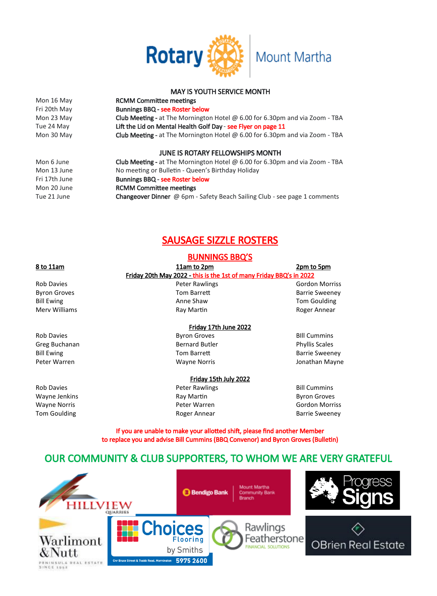

### MAY IS YOUTH SERVICE MONTH

Mon 16 May **RCMM Committee meetings** 

Fri 20th May Bunnings BBQ - see Roster below Mon 23 May **Club Meeting -** at The Mornington Hotel @ 6.00 for 6.30pm and via Zoom - TBA Tue 24 May **Lift the Lid on Mental Health Golf Day - see Flyer on page 11** Mon 30 May Club Meeting - at The Mornington Hotel @ 6.00 for 6.30pm and via Zoom - TBA

### JUNE IS ROTARY FELLOWSHIPS MONTH

Mon 6 June Club Meeting - at The Mornington Hotel @ 6.00 for 6.30pm and via Zoom - TBA Mon 13 June No meeting or Bulletin - Queen's Birthday Holiday Fri 17th June **Bunnings BBQ - see Roster below** Mon 20 June **RCMM Committee meetings** Tue 21 June **Changeover Dinner** @ 6pm - Safety Beach Sailing Club - see page 1 comments

## SAUSAGE SIZZLE ROSTERS

### BUNNINGS BBQ'S

| 8 to 11am           | 11am to 2pm                                                         | 2pm to 5pm            |
|---------------------|---------------------------------------------------------------------|-----------------------|
|                     | Friday 20th May 2022 - this is the 1st of many Friday BBQ's in 2022 |                       |
| <b>Rob Davies</b>   | Peter Rawlings                                                      | <b>Gordon Morriss</b> |
| <b>Byron Groves</b> | <b>Tom Barrett</b>                                                  | <b>Barrie Sweeney</b> |
| <b>Bill Ewing</b>   | Anne Shaw                                                           | <b>Tom Goulding</b>   |
| Mery Williams       | Ray Martin                                                          | Roger Annear          |
|                     | Friday 17th June 2022                                               |                       |
| <b>Rob Davies</b>   | <b>Byron Groves</b>                                                 | <b>BIII Cummins</b>   |
| Greg Buchanan       | <b>Bernard Butler</b>                                               | <b>Phyllis Scales</b> |
| <b>Bill Ewing</b>   | Tom Barrett                                                         | <b>Barrie Sweeney</b> |
| Peter Warren        | <b>Wayne Norris</b>                                                 | Jonathan Mayne        |
|                     | Friday 15th July 2022                                               |                       |
| <b>Rob Davies</b>   | Peter Rawlings                                                      | <b>Bill Cummins</b>   |
| Wayne Jenkins       | Ray Martin                                                          | <b>Byron Groves</b>   |
| <b>Wayne Norris</b> | Peter Warren                                                        | <b>Gordon Morriss</b> |
| <b>Tom Goulding</b> | Roger Annear                                                        | <b>Barrie Sweeney</b> |
|                     |                                                                     |                       |

If you are unable to make your allotted shift, please find another Member to replace you and advise Bill Cummins (BBQ Convenor) and Byron Groves (Bulletin)

## OUR COMMUNITY & CLUB SUPPORTERS, TO WHOM WE ARE VERY GRATEFUL

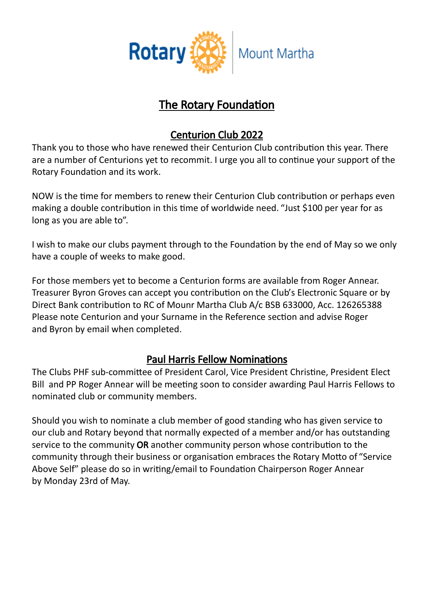

# The Rotary Foundation

# Centurion Club 2022

Thank you to those who have renewed their Centurion Club contribution this year. There are a number of Centurions yet to recommit. I urge you all to continue your support of the Rotary Foundation and its work.

NOW is the time for members to renew their Centurion Club contribution or perhaps even making a double contribution in this time of worldwide need. "Just \$100 per year for as long as you are able to".

I wish to make our clubs payment through to the Foundation by the end of May so we only have a couple of weeks to make good.

For those members yet to become a Centurion forms are available from Roger Annear. Treasurer Byron Groves can accept you contribution on the Club's Electronic Square or by Direct Bank contribution to RC of Mounr Martha Club A/c BSB 633000, Acc. 126265388 Please note Centurion and your Surname in the Reference section and advise Roger and Byron by email when completed.

# Paul Harris Fellow Nominations

The Clubs PHF sub-committee of President Carol, Vice President Christine, President Elect Bill and PP Roger Annear will be meeting soon to consider awarding Paul Harris Fellows to nominated club or community members.

Should you wish to nominate a club member of good standing who has given service to our club and Rotary beyond that normally expected of a member and/or has outstanding service to the community OR another community person whose contribution to the community through their business or organisation embraces the Rotary Motto of "Service Above Self" please do so in writing/email to Foundation Chairperson Roger Annear by Monday 23rd of May.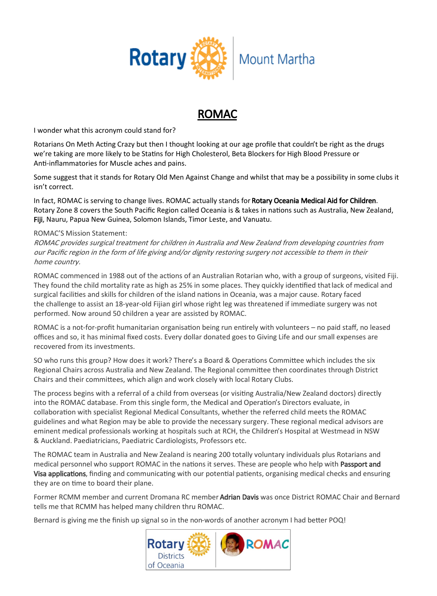

# ROMAC

I wonder what this acronym could stand for?

Rotarians On Meth Acting Crazy but then I thought looking at our age profile that couldn't be right as the drugs we're taking are more likely to be Statins for High Cholesterol, Beta Blockers for High Blood Pressure or Anti-inflammatories for Muscle aches and pains.

Some suggest that it stands for Rotary Old Men Against Change and whilst that may be a possibility in some clubs it isn't correct.

In fact, ROMAC is serving to change lives. ROMAC actually stands for Rotary Oceania Medical Aid for Children. Rotary Zone 8 covers the South Pacific Region called Oceania is & takes in nations such as Australia, New Zealand, Fiji, Nauru, Papua New Guinea, Solomon Islands, Timor Leste, and Vanuatu.

### ROMAC'S Mission Statement:

ROMAC provides surgical treatment for children in Australia and New Zealand from developing countries from our Pacific region in the form of life giving and/or dignity restoring surgery not accessible to them in their home country.

ROMAC commenced in 1988 out of the actions of an Australian Rotarian who, with a group of surgeons, visited Fiji. They found the child mortality rate as high as 25% in some places. They quickly identified thatlack of medical and surgical facilities and skills for children of the island nations in Oceania, was a major cause. Rotary faced the challenge to assist an 18-year-old Fijian girl whose right leg was threatened if immediate surgery was not performed. Now around 50 children a year are assisted by ROMAC.

ROMAC is a not-for-profit humanitarian organisation being run entirely with volunteers – no paid staff, no leased offices and so, it has minimal fixed costs. Every dollar donated goes to Giving Life and our small expenses are recovered from its investments.

SO who runs this group? How does it work? There's a Board & Operations Committee which includes the six Regional Chairs across Australia and New Zealand. The Regional committee then coordinates through District Chairs and their committees, which align and work closely with local Rotary Clubs.

The process begins with a referral of a child from overseas (or visiting Australia/New Zealand doctors) directly into the ROMAC database. From this single form, the Medical and Operation's Directors evaluate, in collaboration with specialist Regional Medical Consultants, whether the referred child meets the ROMAC guidelines and what Region may be able to provide the necessary surgery. These regional medical advisors are eminent medical professionals working at hospitals such at RCH, the Children's Hospital at Westmead in NSW & Auckland. Paediatricians, Paediatric Cardiologists, Professors etc.

The ROMAC team in Australia and New Zealand is nearing 200 totally voluntary individuals plus Rotarians and medical personnel who support ROMAC in the nations it serves. These are people who help with Passport and Visa applications, finding and communicating with our potential patients, organising medical checks and ensuring they are on time to board their plane.

Former RCMM member and current Dromana RC member Adrian Davis was once District ROMAC Chair and Bernard tells me that RCMM has helped many children thru ROMAC.

Bernard is giving me the finish up signal so in the non-words of another acronym I had better POQ!

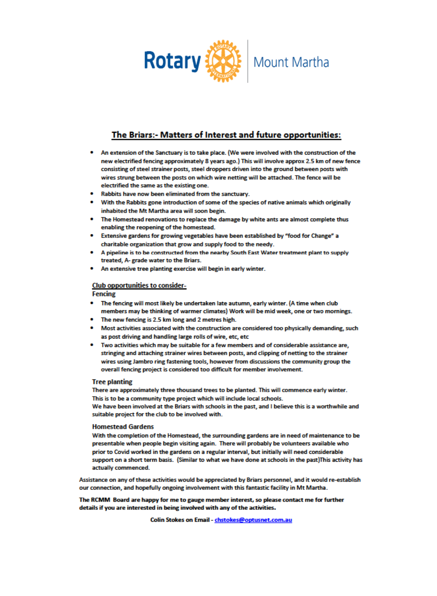

## The Briars:- Matters of Interest and future opportunities:

- . An extension of the Sanctuary is to take place. (We were involved with the construction of the new electrified fencing approximately 8 years ago.) This will involve approx 2.5 km of new fence consisting of steel strainer posts, steel droppers driven into the ground between posts with wires strung between the posts on which wire netting will be attached. The fence will be electrified the same as the existing one.
- . Rabbits have now been eliminated from the sanctuary.
- With the Rabbits gone introduction of some of the species of native animals which originally inhabited the Mt Martha area will soon begin.
- . The Homestead renovations to replace the damage by white ants are almost complete thus enabling the reopening of the homestead.
- Extensive gardens for growing vegetables have been established by "food for Change" a charitable organization that grow and supply food to the needy.
- A pipeline is to be constructed from the nearby South East Water treatment plant to supply treated. A- grade water to the Briars.
- An extensive tree planting exercise will begin in early winter.

### **Club opportunities to consider-**

### **Fencing**

- The fencing will most likely be undertaken late autumn, early winter. (A time when club members may be thinking of warmer climates) Work will be mid week, one or two mornings.
- The new fencing is 2.5 km long and 2 metres high.
- . Most activities associated with the construction are considered too physically demanding, such as post driving and handling large rolls of wire, etc, etc
- . Two activities which may be suitable for a few members and of considerable assistance are, stringing and attaching strainer wires between posts, and clipping of netting to the strainer wires using Jambro ring fastening tools, however from discussions the community group the overall fencing project is considered too difficult for member involvement.

#### **Tree planting**

There are approximately three thousand trees to be planted. This will commence early winter. This is to be a community type project which will include local schools.

We have been involved at the Briars with schools in the past, and I believe this is a worthwhile and suitable project for the club to be involved with.

#### **Homestead Gardens**

With the completion of the Homestead, the surrounding gardens are in need of maintenance to be presentable when people begin visiting again. There will probably be volunteers available who prior to Covid worked in the gardens on a regular interval, but initially will need considerable support on a short term basis. (Similar to what we have done at schools in the past) This activity has actually commenced.

Assistance on any of these activities would be appreciated by Briars personnel, and it would re-establish our connection, and hopefully ongoing involvement with this fantastic facility in Mt Martha.

The RCMM Board are happy for me to gauge member interest, so please contact me for further details if you are interested in being involved with any of the activities.

Colin Stokes on Email - chstokes@optusnet.com.au